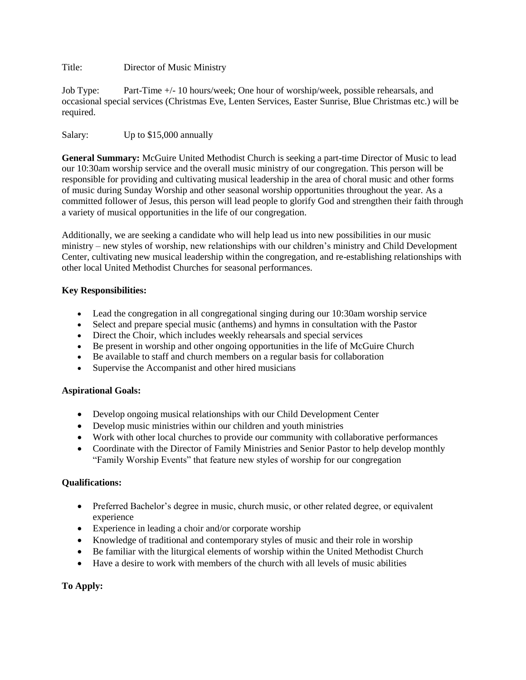Title: Director of Music Ministry

Job Type: Part-Time +/- 10 hours/week; One hour of worship/week, possible rehearsals, and occasional special services (Christmas Eve, Lenten Services, Easter Sunrise, Blue Christmas etc.) will be required.

Salary: Up to \$15,000 annually

**General Summary:** McGuire United Methodist Church is seeking a part-time Director of Music to lead our 10:30am worship service and the overall music ministry of our congregation. This person will be responsible for providing and cultivating musical leadership in the area of choral music and other forms of music during Sunday Worship and other seasonal worship opportunities throughout the year. As a committed follower of Jesus, this person will lead people to glorify God and strengthen their faith through a variety of musical opportunities in the life of our congregation.

Additionally, we are seeking a candidate who will help lead us into new possibilities in our music ministry – new styles of worship, new relationships with our children's ministry and Child Development Center, cultivating new musical leadership within the congregation, and re-establishing relationships with other local United Methodist Churches for seasonal performances.

# **Key Responsibilities:**

- Lead the congregation in all congregational singing during our 10:30am worship service
- Select and prepare special music (anthems) and hymns in consultation with the Pastor
- Direct the Choir, which includes weekly rehearsals and special services
- Be present in worship and other ongoing opportunities in the life of McGuire Church
- Be available to staff and church members on a regular basis for collaboration
- Supervise the Accompanist and other hired musicians

### **Aspirational Goals:**

- Develop ongoing musical relationships with our Child Development Center
- Develop music ministries within our children and youth ministries
- Work with other local churches to provide our community with collaborative performances
- Coordinate with the Director of Family Ministries and Senior Pastor to help develop monthly "Family Worship Events" that feature new styles of worship for our congregation

### **Qualifications:**

- Preferred Bachelor's degree in music, church music, or other related degree, or equivalent experience
- Experience in leading a choir and/or corporate worship
- Knowledge of traditional and contemporary styles of music and their role in worship
- Be familiar with the liturgical elements of worship within the United Methodist Church
- Have a desire to work with members of the church with all levels of music abilities

# **To Apply:**